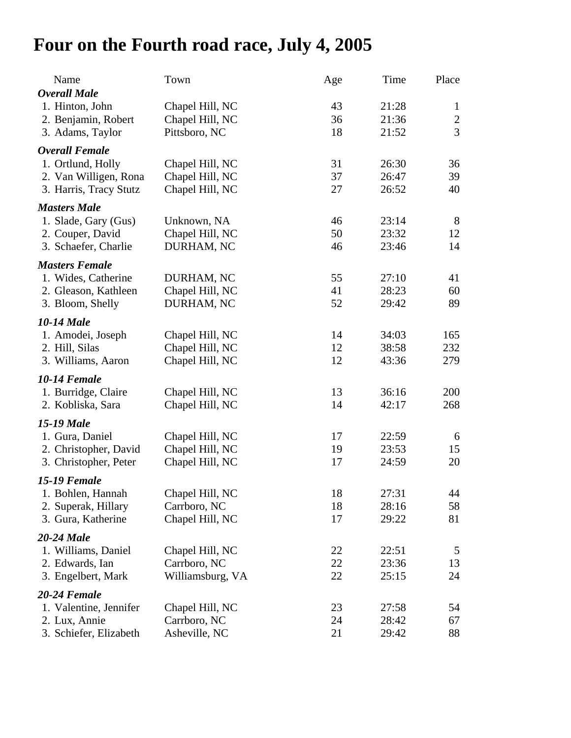## **Four on the Fourth road race, July 4, 2005**

| Name                   | Town             | Age      | Time  | Place          |
|------------------------|------------------|----------|-------|----------------|
| <b>Overall Male</b>    |                  |          |       |                |
| 1. Hinton, John        | Chapel Hill, NC  | 43       | 21:28 | $\mathbf{1}$   |
| 2. Benjamin, Robert    | Chapel Hill, NC  | 36       | 21:36 | $\overline{2}$ |
| 3. Adams, Taylor       | Pittsboro, NC    | 18       | 21:52 | $\overline{3}$ |
| <b>Overall Female</b>  |                  |          |       |                |
| 1. Ortlund, Holly      | Chapel Hill, NC  | 31       | 26:30 | 36             |
| 2. Van Willigen, Rona  | Chapel Hill, NC  | 37       | 26:47 | 39             |
| 3. Harris, Tracy Stutz | Chapel Hill, NC  | 27       | 26:52 | 40             |
| <b>Masters Male</b>    |                  |          |       |                |
| 1. Slade, Gary (Gus)   | Unknown, NA      | 46       | 23:14 | 8              |
| 2. Couper, David       | Chapel Hill, NC  | 50       | 23:32 | 12             |
| 3. Schaefer, Charlie   | DURHAM, NC       | 46       | 23:46 | 14             |
| <b>Masters Female</b>  |                  |          |       |                |
| 1. Wides, Catherine    | DURHAM, NC       | 55       | 27:10 | 41             |
| 2. Gleason, Kathleen   | Chapel Hill, NC  | 41       | 28:23 | 60             |
| 3. Bloom, Shelly       | DURHAM, NC       | 52       | 29:42 | 89             |
|                        |                  |          |       |                |
| <b>10-14 Male</b>      |                  |          |       |                |
| 1. Amodei, Joseph      | Chapel Hill, NC  | 14       | 34:03 | 165            |
| 2. Hill, Silas         | Chapel Hill, NC  | 12<br>12 | 38:58 | 232            |
| 3. Williams, Aaron     | Chapel Hill, NC  |          | 43:36 | 279            |
| <b>10-14 Female</b>    |                  |          |       |                |
| 1. Burridge, Claire    | Chapel Hill, NC  | 13       | 36:16 | 200            |
| 2. Kobliska, Sara      | Chapel Hill, NC  | 14       | 42:17 | 268            |
| <b>15-19 Male</b>      |                  |          |       |                |
| 1. Gura, Daniel        | Chapel Hill, NC  | 17       | 22:59 | 6              |
| 2. Christopher, David  | Chapel Hill, NC  | 19       | 23:53 | 15             |
| 3. Christopher, Peter  | Chapel Hill, NC  | 17       | 24:59 | 20             |
| <b>15-19 Female</b>    |                  |          |       |                |
| 1. Bohlen, Hannah      | Chapel Hill, NC  | 18       | 27:31 | 44             |
| 2. Superak, Hillary    | Carrboro, NC     | 18       | 28:16 | 58             |
| 3. Gura, Katherine     | Chapel Hill, NC  | 17       | 29:22 | 81             |
| <b>20-24 Male</b>      |                  |          |       |                |
| 1. Williams, Daniel    | Chapel Hill, NC  | 22       | 22:51 | 5              |
| 2. Edwards, Ian        | Carrboro, NC     | 22       | 23:36 | 13             |
| 3. Engelbert, Mark     | Williamsburg, VA | 22       | 25:15 | 24             |
| 20-24 Female           |                  |          |       |                |
| 1. Valentine, Jennifer | Chapel Hill, NC  | 23       | 27:58 | 54             |
| 2. Lux, Annie          | Carrboro, NC     | 24       | 28:42 | 67             |
| 3. Schiefer, Elizabeth | Asheville, NC    | 21       | 29:42 | 88             |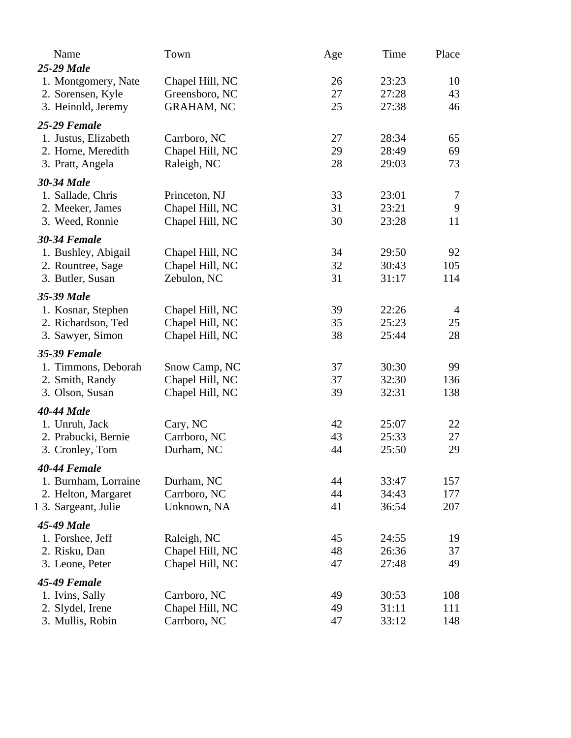| Name<br><b>25-29 Male</b>                | Town                               | Age      | Time           | Place          |
|------------------------------------------|------------------------------------|----------|----------------|----------------|
| 1. Montgomery, Nate<br>2. Sorensen, Kyle | Chapel Hill, NC<br>Greensboro, NC  | 26<br>27 | 23:23<br>27:28 | 10<br>43       |
| 3. Heinold, Jeremy                       | <b>GRAHAM, NC</b>                  | 25       | 27:38          | 46             |
| <b>25-29 Female</b>                      |                                    |          |                |                |
| 1. Justus, Elizabeth                     | Carrboro, NC                       | 27       | 28:34          | 65             |
| 2. Horne, Meredith<br>3. Pratt, Angela   | Chapel Hill, NC<br>Raleigh, NC     | 29<br>28 | 28:49<br>29:03 | 69<br>73       |
|                                          |                                    |          |                |                |
| 30-34 Male                               |                                    |          |                |                |
| 1. Sallade, Chris                        | Princeton, NJ                      | 33       | 23:01          | $\tau$<br>9    |
| 2. Meeker, James<br>3. Weed, Ronnie      | Chapel Hill, NC<br>Chapel Hill, NC | 31<br>30 | 23:21<br>23:28 | 11             |
|                                          |                                    |          |                |                |
| <b>30-34 Female</b>                      |                                    |          |                |                |
| 1. Bushley, Abigail                      | Chapel Hill, NC                    | 34       | 29:50          | 92             |
| 2. Rountree, Sage                        | Chapel Hill, NC                    | 32       | 30:43          | 105            |
| 3. Butler, Susan                         | Zebulon, NC                        | 31       | 31:17          | 114            |
| 35-39 Male                               |                                    |          |                |                |
| 1. Kosnar, Stephen                       | Chapel Hill, NC                    | 39       | 22:26          | $\overline{4}$ |
| 2. Richardson, Ted                       | Chapel Hill, NC                    | 35       | 25:23          | 25             |
| 3. Sawyer, Simon                         | Chapel Hill, NC                    | 38       | 25:44          | 28             |
| 35-39 Female                             |                                    |          |                |                |
| 1. Timmons, Deborah                      | Snow Camp, NC                      | 37       | 30:30          | 99             |
| 2. Smith, Randy                          | Chapel Hill, NC                    | 37       | 32:30          | 136            |
| 3. Olson, Susan                          | Chapel Hill, NC                    | 39       | 32:31          | 138            |
| <b>40-44 Male</b>                        |                                    |          |                |                |
| 1. Unruh, Jack                           | Cary, NC                           | 42       | 25:07          | 22             |
| 2. Prabucki, Bernie                      | Carrboro, NC                       | 43       | 25:33          | 27             |
| 3. Cronley, Tom                          | Durham, NC                         | 44       | 25:50          | 29             |
| 40-44 Female                             |                                    |          |                |                |
| 1. Burnham, Lorraine                     | Durham, NC                         | 44       | 33:47          | 157            |
| 2. Helton, Margaret                      | Carrboro, NC                       | 44       | 34:43          | 177            |
| 1 3. Sargeant, Julie                     | Unknown, NA                        | 41       | 36:54          | 207            |
| 45-49 Male                               |                                    |          |                |                |
| 1. Forshee, Jeff                         | Raleigh, NC                        | 45       | 24:55          | 19             |
| 2. Risku, Dan                            | Chapel Hill, NC                    | 48       | 26:36          | 37             |
| 3. Leone, Peter                          | Chapel Hill, NC                    | 47       | 27:48          | 49             |
| <b>45-49 Female</b>                      |                                    |          |                |                |
| 1. Ivins, Sally                          | Carrboro, NC                       | 49       | 30:53          | 108            |
| 2. Slydel, Irene                         | Chapel Hill, NC                    | 49       | 31:11          | 111            |
| 3. Mullis, Robin                         | Carrboro, NC                       | 47       | 33:12          | 148            |
|                                          |                                    |          |                |                |